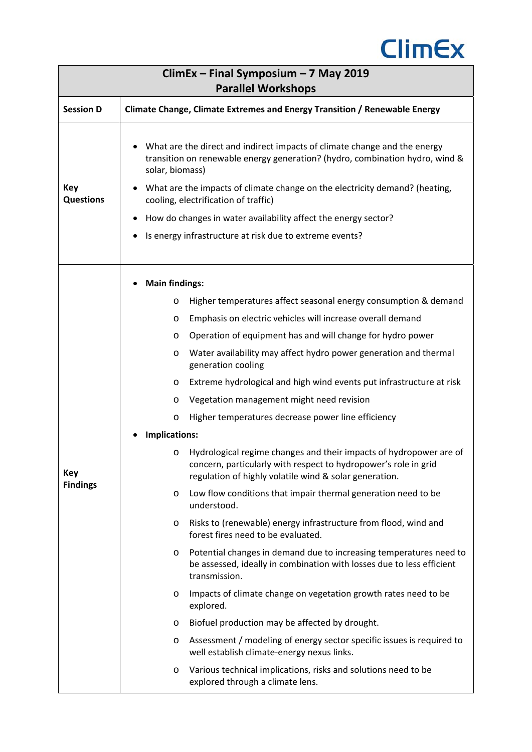

| $C$ limEx – Final Symposium – 7 May 2019<br><b>Parallel Workshops</b>                                                                                                                                                                                                                                                                                                                                                                                                                                                                                                                                                                                                                                                                                                                                                                                                                                                                                                                                                                                                                                                                                                                                                                                                                                                                                                                                                                     |  |  |  |
|-------------------------------------------------------------------------------------------------------------------------------------------------------------------------------------------------------------------------------------------------------------------------------------------------------------------------------------------------------------------------------------------------------------------------------------------------------------------------------------------------------------------------------------------------------------------------------------------------------------------------------------------------------------------------------------------------------------------------------------------------------------------------------------------------------------------------------------------------------------------------------------------------------------------------------------------------------------------------------------------------------------------------------------------------------------------------------------------------------------------------------------------------------------------------------------------------------------------------------------------------------------------------------------------------------------------------------------------------------------------------------------------------------------------------------------------|--|--|--|
| <b>Session D</b><br>Climate Change, Climate Extremes and Energy Transition / Renewable Energy                                                                                                                                                                                                                                                                                                                                                                                                                                                                                                                                                                                                                                                                                                                                                                                                                                                                                                                                                                                                                                                                                                                                                                                                                                                                                                                                             |  |  |  |
| What are the direct and indirect impacts of climate change and the energy<br>transition on renewable energy generation? (hydro, combination hydro, wind &<br>solar, biomass)<br>What are the impacts of climate change on the electricity demand? (heating,<br>cooling, electrification of traffic)<br>How do changes in water availability affect the energy sector?<br>Is energy infrastructure at risk due to extreme events?                                                                                                                                                                                                                                                                                                                                                                                                                                                                                                                                                                                                                                                                                                                                                                                                                                                                                                                                                                                                          |  |  |  |
| <b>Main findings:</b><br>Higher temperatures affect seasonal energy consumption & demand<br>O<br>Emphasis on electric vehicles will increase overall demand<br>O<br>Operation of equipment has and will change for hydro power<br>O<br>Water availability may affect hydro power generation and thermal<br>O<br>generation cooling<br>Extreme hydrological and high wind events put infrastructure at risk<br>$\circ$<br>Vegetation management might need revision<br>O<br>Higher temperatures decrease power line efficiency<br>$\circ$<br>Implications:<br>Hydrological regime changes and their impacts of hydropower are of<br>$\circ$<br>concern, particularly with respect to hydropower's role in grid<br>regulation of highly volatile wind & solar generation.<br>Low flow conditions that impair thermal generation need to be<br>$\circ$<br>understood.<br>Risks to (renewable) energy infrastructure from flood, wind and<br>O<br>forest fires need to be evaluated.<br>Potential changes in demand due to increasing temperatures need to<br>O<br>be assessed, ideally in combination with losses due to less efficient<br>transmission.<br>Impacts of climate change on vegetation growth rates need to be<br>$\circ$<br>explored.<br>Biofuel production may be affected by drought.<br>$\circ$<br>Assessment / modeling of energy sector specific issues is required to<br>O<br>well establish climate-energy nexus links. |  |  |  |
| Various technical implications, risks and solutions need to be<br>$\circ$<br>explored through a climate lens.                                                                                                                                                                                                                                                                                                                                                                                                                                                                                                                                                                                                                                                                                                                                                                                                                                                                                                                                                                                                                                                                                                                                                                                                                                                                                                                             |  |  |  |
|                                                                                                                                                                                                                                                                                                                                                                                                                                                                                                                                                                                                                                                                                                                                                                                                                                                                                                                                                                                                                                                                                                                                                                                                                                                                                                                                                                                                                                           |  |  |  |